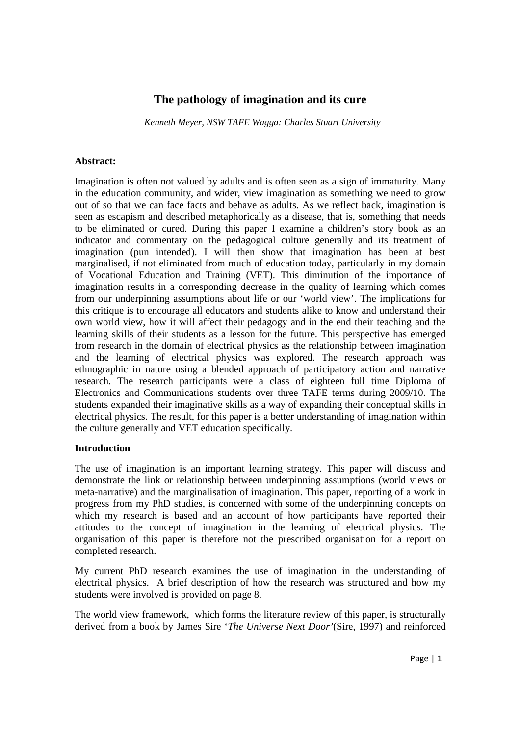# **The pathology of imagination and its cure**

*Kenneth Meyer, NSW TAFE Wagga: Charles Stuart University* 

#### **Abstract:**

Imagination is often not valued by adults and is often seen as a sign of immaturity. Many in the education community, and wider, view imagination as something we need to grow out of so that we can face facts and behave as adults. As we reflect back, imagination is seen as escapism and described metaphorically as a disease, that is, something that needs to be eliminated or cured. During this paper I examine a children's story book as an indicator and commentary on the pedagogical culture generally and its treatment of imagination (pun intended). I will then show that imagination has been at best marginalised, if not eliminated from much of education today, particularly in my domain of Vocational Education and Training (VET). This diminution of the importance of imagination results in a corresponding decrease in the quality of learning which comes from our underpinning assumptions about life or our 'world view'. The implications for this critique is to encourage all educators and students alike to know and understand their own world view, how it will affect their pedagogy and in the end their teaching and the learning skills of their students as a lesson for the future. This perspective has emerged from research in the domain of electrical physics as the relationship between imagination and the learning of electrical physics was explored. The research approach was ethnographic in nature using a blended approach of participatory action and narrative research. The research participants were a class of eighteen full time Diploma of Electronics and Communications students over three TAFE terms during 2009/10. The students expanded their imaginative skills as a way of expanding their conceptual skills in electrical physics. The result, for this paper is a better understanding of imagination within the culture generally and VET education specifically.

## **Introduction**

The use of imagination is an important learning strategy. This paper will discuss and demonstrate the link or relationship between underpinning assumptions (world views or meta-narrative) and the marginalisation of imagination. This paper, reporting of a work in progress from my PhD studies, is concerned with some of the underpinning concepts on which my research is based and an account of how participants have reported their attitudes to the concept of imagination in the learning of electrical physics. The organisation of this paper is therefore not the prescribed organisation for a report on completed research.

My current PhD research examines the use of imagination in the understanding of electrical physics. A brief description of how the research was structured and how my students were involved is provided on page 8.

The world view framework, which forms the literature review of this paper, is structurally derived from a book by James Sire '*The Universe Next Door'*(Sire, 1997) and reinforced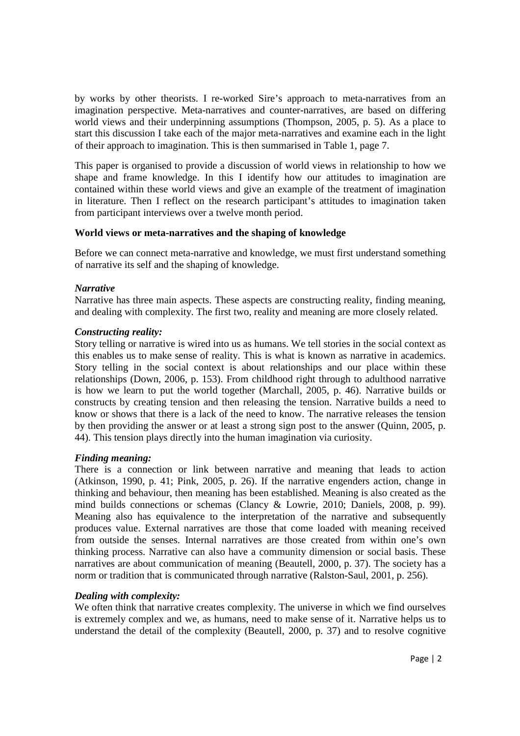by works by other theorists. I re-worked Sire's approach to meta-narratives from an imagination perspective. Meta-narratives and counter-narratives, are based on differing world views and their underpinning assumptions (Thompson, 2005, p. 5). As a place to start this discussion I take each of the major meta-narratives and examine each in the light of their approach to imagination. This is then summarised in Table 1, page 7.

This paper is organised to provide a discussion of world views in relationship to how we shape and frame knowledge. In this I identify how our attitudes to imagination are contained within these world views and give an example of the treatment of imagination in literature. Then I reflect on the research participant's attitudes to imagination taken from participant interviews over a twelve month period.

## **World views or meta-narratives and the shaping of knowledge**

Before we can connect meta-narrative and knowledge, we must first understand something of narrative its self and the shaping of knowledge.

#### *Narrative*

Narrative has three main aspects. These aspects are constructing reality, finding meaning, and dealing with complexity. The first two, reality and meaning are more closely related.

#### *Constructing reality:*

Story telling or narrative is wired into us as humans. We tell stories in the social context as this enables us to make sense of reality. This is what is known as narrative in academics. Story telling in the social context is about relationships and our place within these relationships (Down, 2006, p. 153). From childhood right through to adulthood narrative is how we learn to put the world together (Marchall, 2005, p. 46). Narrative builds or constructs by creating tension and then releasing the tension. Narrative builds a need to know or shows that there is a lack of the need to know. The narrative releases the tension by then providing the answer or at least a strong sign post to the answer (Quinn, 2005, p. 44). This tension plays directly into the human imagination via curiosity.

#### *Finding meaning:*

There is a connection or link between narrative and meaning that leads to action (Atkinson, 1990, p. 41; Pink, 2005, p. 26). If the narrative engenders action, change in thinking and behaviour, then meaning has been established. Meaning is also created as the mind builds connections or schemas (Clancy & Lowrie, 2010; Daniels, 2008, p. 99). Meaning also has equivalence to the interpretation of the narrative and subsequently produces value. External narratives are those that come loaded with meaning received from outside the senses. Internal narratives are those created from within one's own thinking process. Narrative can also have a community dimension or social basis. These narratives are about communication of meaning (Beautell, 2000, p. 37). The society has a norm or tradition that is communicated through narrative (Ralston-Saul, 2001, p. 256).

## *Dealing with complexity:*

We often think that narrative creates complexity. The universe in which we find ourselves is extremely complex and we, as humans, need to make sense of it. Narrative helps us to understand the detail of the complexity (Beautell, 2000, p. 37) and to resolve cognitive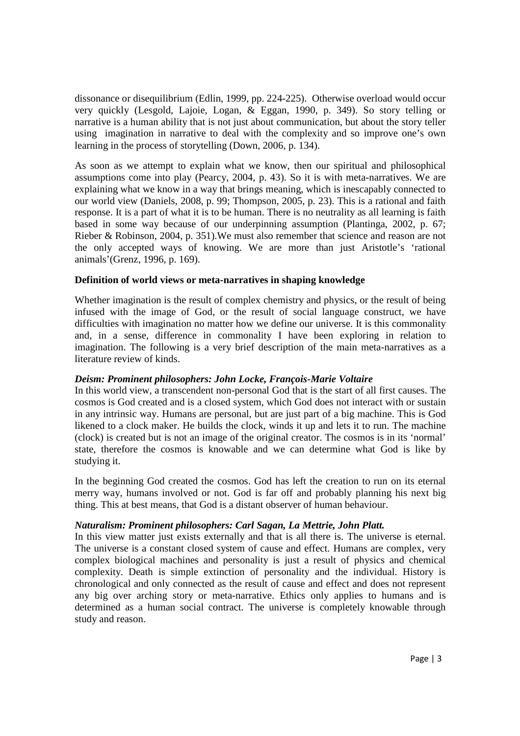dissonance or disequilibrium (Edlin, 1999, pp. 224-225). Otherwise overload would occur very quickly (Lesgold, Lajoie, Logan, & Eggan, 1990, p. 349). So story telling or narrative is a human ability that is not just about communication, but about the story teller using imagination in narrative to deal with the complexity and so improve one's own learning in the process of storytelling (Down, 2006, p. 134).

As soon as we attempt to explain what we know, then our spiritual and philosophical assumptions come into play (Pearcy, 2004, p. 43). So it is with meta-narratives. We are explaining what we know in a way that brings meaning, which is inescapably connected to our world view (Daniels, 2008, p. 99; Thompson, 2005, p. 23). This is a rational and faith response. It is a part of what it is to be human. There is no neutrality as all learning is faith based in some way because of our underpinning assumption (Plantinga, 2002, p. 67; Rieber & Robinson, 2004, p. 351).We must also remember that science and reason are not the only accepted ways of knowing. We are more than just Aristotle's 'rational animals'(Grenz, 1996, p. 169).

## **Definition of world views or meta-narratives in shaping knowledge**

Whether imagination is the result of complex chemistry and physics, or the result of being infused with the image of God, or the result of social language construct, we have difficulties with imagination no matter how we define our universe. It is this commonality and, in a sense, difference in commonality I have been exploring in relation to imagination. The following is a very brief description of the main meta-narratives as a literature review of kinds.

## *Deism: Prominent philosophers: John Locke, François-Marie Voltaire*

In this world view, a transcendent non-personal God that is the start of all first causes. The cosmos is God created and is a closed system, which God does not interact with or sustain in any intrinsic way. Humans are personal, but are just part of a big machine. This is God likened to a clock maker. He builds the clock, winds it up and lets it to run. The machine (clock) is created but is not an image of the original creator. The cosmos is in its 'normal' state, therefore the cosmos is knowable and we can determine what God is like by studying it.

In the beginning God created the cosmos. God has left the creation to run on its eternal merry way, humans involved or not. God is far off and probably planning his next big thing. This at best means, that God is a distant observer of human behaviour.

## *Naturalism: Prominent philosophers: Carl Sagan, La Mettrie, John Platt.*

In this view matter just exists externally and that is all there is. The universe is eternal. The universe is a constant closed system of cause and effect. Humans are complex, very complex biological machines and personality is just a result of physics and chemical complexity. Death is simple extinction of personality and the individual. History is chronological and only connected as the result of cause and effect and does not represent any big over arching story or meta-narrative. Ethics only applies to humans and is determined as a human social contract. The universe is completely knowable through study and reason.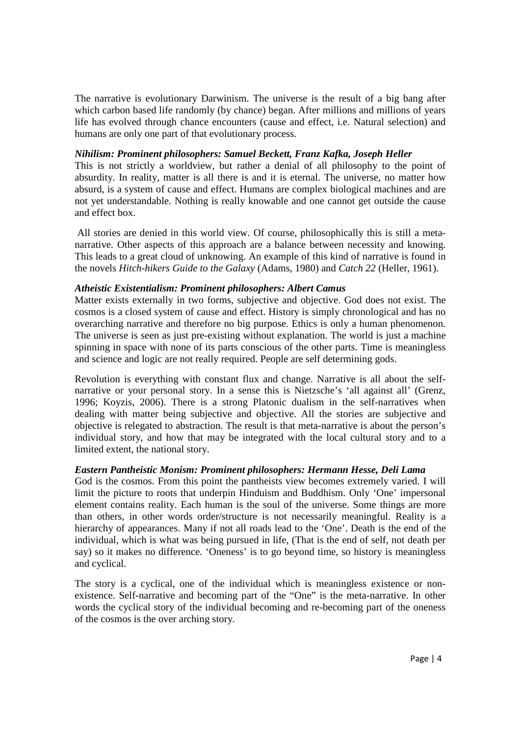The narrative is evolutionary Darwinism. The universe is the result of a big bang after which carbon based life randomly (by chance) began. After millions and millions of years life has evolved through chance encounters (cause and effect, i.e. Natural selection) and humans are only one part of that evolutionary process.

## *Nihilism: Prominent philosophers: Samuel Beckett, Franz Kafka, Joseph Heller*

This is not strictly a worldview, but rather a denial of all philosophy to the point of absurdity. In reality, matter is all there is and it is eternal. The universe, no matter how absurd, is a system of cause and effect. Humans are complex biological machines and are not yet understandable. Nothing is really knowable and one cannot get outside the cause and effect box.

 All stories are denied in this world view. Of course, philosophically this is still a metanarrative. Other aspects of this approach are a balance between necessity and knowing. This leads to a great cloud of unknowing. An example of this kind of narrative is found in the novels *Hitch-hikers Guide to the Galaxy* (Adams, 1980) and *Catch 22* (Heller, 1961).

#### *Atheistic Existentialism: Prominent philosophers: Albert Camus*

Matter exists externally in two forms, subjective and objective. God does not exist. The cosmos is a closed system of cause and effect. History is simply chronological and has no overarching narrative and therefore no big purpose. Ethics is only a human phenomenon. The universe is seen as just pre-existing without explanation. The world is just a machine spinning in space with none of its parts conscious of the other parts. Time is meaningless and science and logic are not really required. People are self determining gods.

Revolution is everything with constant flux and change. Narrative is all about the selfnarrative or your personal story. In a sense this is Nietzsche's 'all against all' (Grenz, 1996; Koyzis, 2006). There is a strong Platonic dualism in the self-narratives when dealing with matter being subjective and objective. All the stories are subjective and objective is relegated to abstraction. The result is that meta-narrative is about the person's individual story, and how that may be integrated with the local cultural story and to a limited extent, the national story.

## *Eastern Pantheistic Monism: Prominent philosophers: Hermann Hesse, Deli Lama*

God is the cosmos. From this point the pantheists view becomes extremely varied. I will limit the picture to roots that underpin Hinduism and Buddhism. Only 'One' impersonal element contains reality. Each human is the soul of the universe. Some things are more than others, in other words order/structure is not necessarily meaningful. Reality is a hierarchy of appearances. Many if not all roads lead to the 'One'. Death is the end of the individual, which is what was being pursued in life, (That is the end of self, not death per say) so it makes no difference. 'Oneness' is to go beyond time, so history is meaningless and cyclical.

The story is a cyclical, one of the individual which is meaningless existence or nonexistence. Self-narrative and becoming part of the "One" is the meta-narrative. In other words the cyclical story of the individual becoming and re-becoming part of the oneness of the cosmos is the over arching story.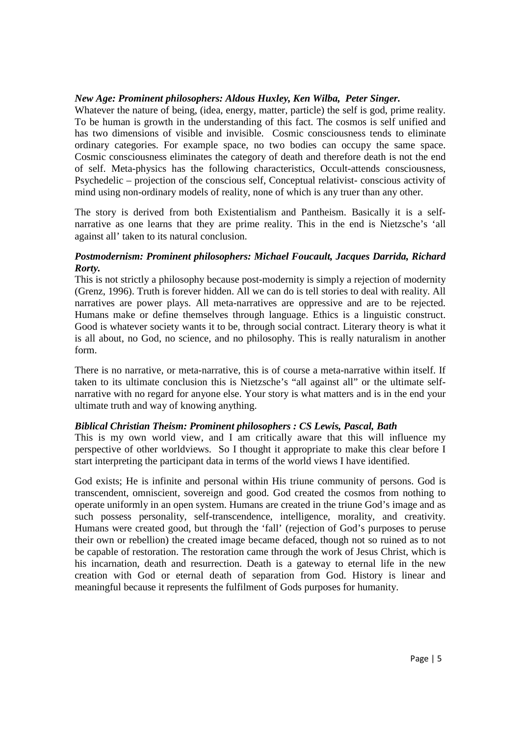## *New Age: Prominent philosophers: Aldous Huxley, Ken Wilba, Peter Singer.*

Whatever the nature of being, (idea, energy, matter, particle) the self is god, prime reality. To be human is growth in the understanding of this fact. The cosmos is self unified and has two dimensions of visible and invisible. Cosmic consciousness tends to eliminate ordinary categories. For example space, no two bodies can occupy the same space. Cosmic consciousness eliminates the category of death and therefore death is not the end of self. Meta-physics has the following characteristics, Occult-attends consciousness, Psychedelic – projection of the conscious self, Conceptual relativist- conscious activity of mind using non-ordinary models of reality, none of which is any truer than any other.

The story is derived from both Existentialism and Pantheism. Basically it is a selfnarrative as one learns that they are prime reality. This in the end is Nietzsche's 'all against all' taken to its natural conclusion.

# *Postmodernism: Prominent philosophers: Michael Foucault, Jacques Darrida, Richard Rorty.*

This is not strictly a philosophy because post-modernity is simply a rejection of modernity (Grenz, 1996). Truth is forever hidden. All we can do is tell stories to deal with reality. All narratives are power plays. All meta-narratives are oppressive and are to be rejected. Humans make or define themselves through language. Ethics is a linguistic construct. Good is whatever society wants it to be, through social contract. Literary theory is what it is all about, no God, no science, and no philosophy. This is really naturalism in another form.

There is no narrative, or meta-narrative, this is of course a meta-narrative within itself. If taken to its ultimate conclusion this is Nietzsche's "all against all" or the ultimate selfnarrative with no regard for anyone else. Your story is what matters and is in the end your ultimate truth and way of knowing anything.

# *Biblical Christian Theism: Prominent philosophers : CS Lewis, Pascal, Bath*

This is my own world view, and I am critically aware that this will influence my perspective of other worldviews. So I thought it appropriate to make this clear before I start interpreting the participant data in terms of the world views I have identified.

God exists; He is infinite and personal within His triune community of persons. God is transcendent, omniscient, sovereign and good. God created the cosmos from nothing to operate uniformly in an open system. Humans are created in the triune God's image and as such possess personality, self-transcendence, intelligence, morality, and creativity. Humans were created good, but through the 'fall' (rejection of God's purposes to peruse their own or rebellion) the created image became defaced, though not so ruined as to not be capable of restoration. The restoration came through the work of Jesus Christ, which is his incarnation, death and resurrection. Death is a gateway to eternal life in the new creation with God or eternal death of separation from God. History is linear and meaningful because it represents the fulfilment of Gods purposes for humanity.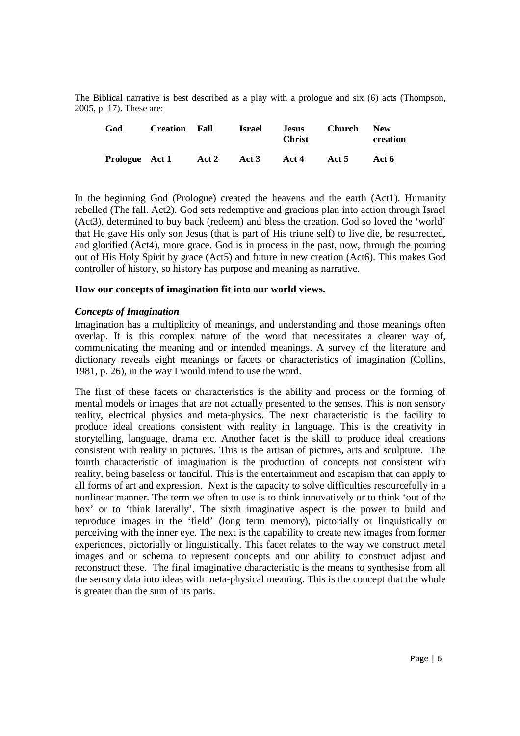The Biblical narrative is best described as a play with a prologue and six (6) acts (Thompson, 2005, p. 17). These are:

| God            | <b>Creation</b> | - Fall | Israel | <b>Jesus</b><br><b>Christ</b> | <b>Church</b> | <b>New</b><br>creation |
|----------------|-----------------|--------|--------|-------------------------------|---------------|------------------------|
| Prologue Act 1 |                 | Act 2  | Act 3  | Act 4                         | Act 5         | Act 6                  |

In the beginning God (Prologue) created the heavens and the earth (Act1). Humanity rebelled (The fall. Act2). God sets redemptive and gracious plan into action through Israel (Act3), determined to buy back (redeem) and bless the creation. God so loved the 'world' that He gave His only son Jesus (that is part of His triune self) to live die, be resurrected, and glorified (Act4), more grace. God is in process in the past, now, through the pouring out of His Holy Spirit by grace (Act5) and future in new creation (Act6). This makes God controller of history, so history has purpose and meaning as narrative.

## **How our concepts of imagination fit into our world views.**

## *Concepts of Imagination*

Imagination has a multiplicity of meanings, and understanding and those meanings often overlap. It is this complex nature of the word that necessitates a clearer way of, communicating the meaning and or intended meanings. A survey of the literature and dictionary reveals eight meanings or facets or characteristics of imagination (Collins, 1981, p. 26), in the way I would intend to use the word.

The first of these facets or characteristics is the ability and process or the forming of mental models or images that are not actually presented to the senses. This is non sensory reality, electrical physics and meta-physics. The next characteristic is the facility to produce ideal creations consistent with reality in language. This is the creativity in storytelling, language, drama etc. Another facet is the skill to produce ideal creations consistent with reality in pictures. This is the artisan of pictures, arts and sculpture. The fourth characteristic of imagination is the production of concepts not consistent with reality, being baseless or fanciful. This is the entertainment and escapism that can apply to all forms of art and expression. Next is the capacity to solve difficulties resourcefully in a nonlinear manner. The term we often to use is to think innovatively or to think 'out of the box' or to 'think laterally'. The sixth imaginative aspect is the power to build and reproduce images in the 'field' (long term memory), pictorially or linguistically or perceiving with the inner eye. The next is the capability to create new images from former experiences, pictorially or linguistically. This facet relates to the way we construct metal images and or schema to represent concepts and our ability to construct adjust and reconstruct these. The final imaginative characteristic is the means to synthesise from all the sensory data into ideas with meta-physical meaning. This is the concept that the whole is greater than the sum of its parts.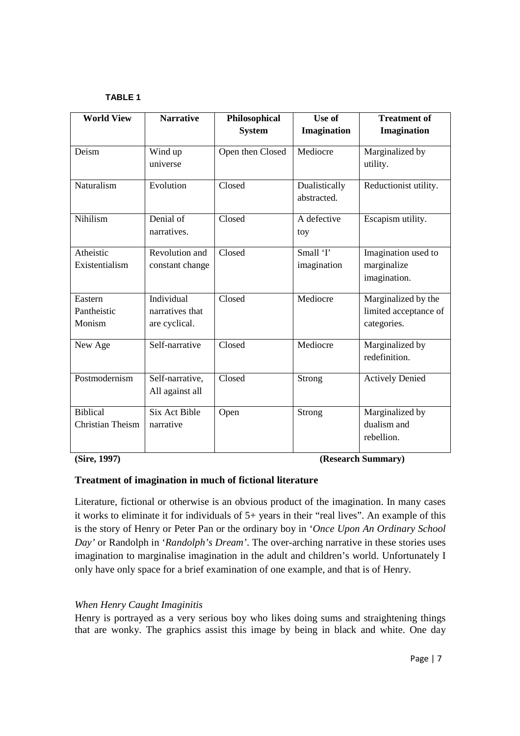#### **TABLE 1**

| <b>World View</b> | <b>Narrative</b> | Philosophical    | Use of        | <b>Treatment of</b>    |
|-------------------|------------------|------------------|---------------|------------------------|
|                   |                  | <b>System</b>    | Imagination   | Imagination            |
| Deism             | Wind up          | Open then Closed | Mediocre      | Marginalized by        |
|                   | universe         |                  |               | utility.               |
| Naturalism        | Evolution        | Closed           | Dualistically | Reductionist utility.  |
|                   |                  |                  | abstracted.   |                        |
| Nihilism          | Denial of        | Closed           | A defective   | Escapism utility.      |
|                   | narratives.      |                  | toy           |                        |
| Atheistic         | Revolution and   | Closed           | Small 'I'     | Imagination used to    |
| Existentialism    | constant change  |                  | imagination   | marginalize            |
|                   |                  |                  |               | imagination.           |
| Eastern           | Individual       | Closed           | Mediocre      | Marginalized by the    |
| Pantheistic       | narratives that  |                  |               | limited acceptance of  |
| Monism            | are cyclical.    |                  |               | categories.            |
| New Age           | Self-narrative   | Closed           | Mediocre      | Marginalized by        |
|                   |                  |                  |               | redefinition.          |
| Postmodernism     | Self-narrative,  | Closed           | Strong        | <b>Actively Denied</b> |
|                   | All against all  |                  |               |                        |
| <b>Biblical</b>   | Six Act Bible    | Open             | Strong        | Marginalized by        |
| Christian Theism  | narrative        |                  |               | dualism and            |
|                   |                  |                  |               | rebellion.             |

**(Sire, 1997) (Research Summary)** 

## **Treatment of imagination in much of fictional literature**

Literature, fictional or otherwise is an obvious product of the imagination. In many cases it works to eliminate it for individuals of 5+ years in their "real lives". An example of this is the story of Henry or Peter Pan or the ordinary boy in '*Once Upon An Ordinary School Day'* or Randolph in '*Randolph's Dream'*. The over-arching narrative in these stories uses imagination to marginalise imagination in the adult and children's world. Unfortunately I only have only space for a brief examination of one example, and that is of Henry.

# *When Henry Caught Imaginitis*

Henry is portrayed as a very serious boy who likes doing sums and straightening things that are wonky. The graphics assist this image by being in black and white. One day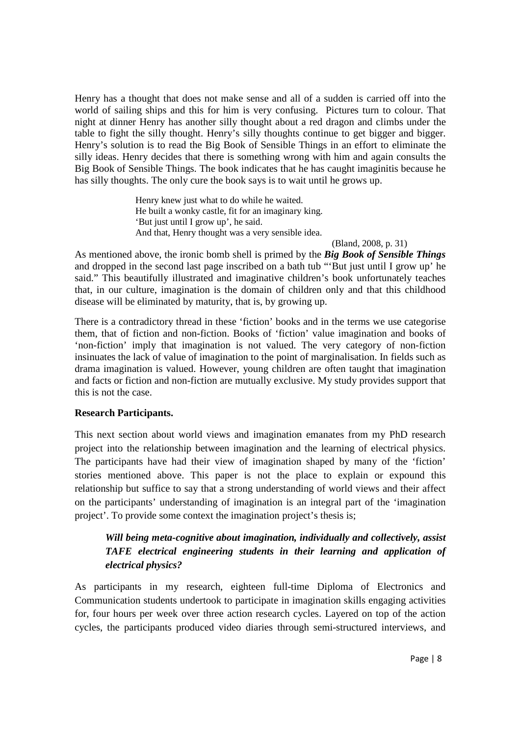Henry has a thought that does not make sense and all of a sudden is carried off into the world of sailing ships and this for him is very confusing. Pictures turn to colour. That night at dinner Henry has another silly thought about a red dragon and climbs under the table to fight the silly thought. Henry's silly thoughts continue to get bigger and bigger. Henry's solution is to read the Big Book of Sensible Things in an effort to eliminate the silly ideas. Henry decides that there is something wrong with him and again consults the Big Book of Sensible Things. The book indicates that he has caught imaginitis because he has silly thoughts. The only cure the book says is to wait until he grows up.

> Henry knew just what to do while he waited. He built a wonky castle, fit for an imaginary king. 'But just until I grow up', he said. And that, Henry thought was a very sensible idea.

(Bland, 2008, p. 31)

As mentioned above, the ironic bomb shell is primed by the *Big Book of Sensible Things* and dropped in the second last page inscribed on a bath tub "'But just until I grow up' he said." This beautifully illustrated and imaginative children's book unfortunately teaches that, in our culture, imagination is the domain of children only and that this childhood disease will be eliminated by maturity, that is, by growing up.

There is a contradictory thread in these 'fiction' books and in the terms we use categorise them, that of fiction and non-fiction. Books of 'fiction' value imagination and books of 'non-fiction' imply that imagination is not valued. The very category of non-fiction insinuates the lack of value of imagination to the point of marginalisation. In fields such as drama imagination is valued. However, young children are often taught that imagination and facts or fiction and non-fiction are mutually exclusive. My study provides support that this is not the case.

## **Research Participants.**

This next section about world views and imagination emanates from my PhD research project into the relationship between imagination and the learning of electrical physics. The participants have had their view of imagination shaped by many of the 'fiction' stories mentioned above. This paper is not the place to explain or expound this relationship but suffice to say that a strong understanding of world views and their affect on the participants' understanding of imagination is an integral part of the 'imagination project'. To provide some context the imagination project's thesis is;

# *Will being meta-cognitive about imagination, individually and collectively, assist TAFE electrical engineering students in their learning and application of electrical physics?*

As participants in my research, eighteen full-time Diploma of Electronics and Communication students undertook to participate in imagination skills engaging activities for, four hours per week over three action research cycles. Layered on top of the action cycles, the participants produced video diaries through semi-structured interviews, and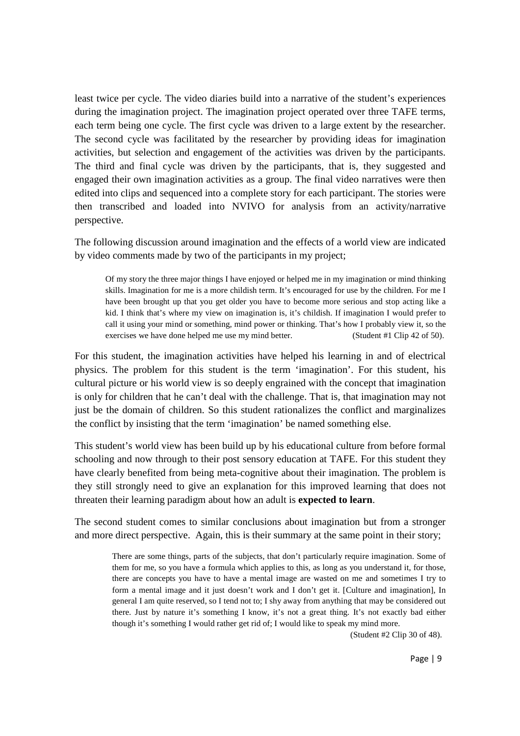least twice per cycle. The video diaries build into a narrative of the student's experiences during the imagination project. The imagination project operated over three TAFE terms, each term being one cycle. The first cycle was driven to a large extent by the researcher. The second cycle was facilitated by the researcher by providing ideas for imagination activities, but selection and engagement of the activities was driven by the participants. The third and final cycle was driven by the participants, that is, they suggested and engaged their own imagination activities as a group. The final video narratives were then edited into clips and sequenced into a complete story for each participant. The stories were then transcribed and loaded into NVIVO for analysis from an activity/narrative perspective.

The following discussion around imagination and the effects of a world view are indicated by video comments made by two of the participants in my project;

Of my story the three major things I have enjoyed or helped me in my imagination or mind thinking skills. Imagination for me is a more childish term. It's encouraged for use by the children. For me I have been brought up that you get older you have to become more serious and stop acting like a kid. I think that's where my view on imagination is, it's childish. If imagination I would prefer to call it using your mind or something, mind power or thinking. That's how I probably view it, so the exercises we have done helped me use my mind better. (Student #1 Clip 42 of 50).

For this student, the imagination activities have helped his learning in and of electrical physics. The problem for this student is the term 'imagination'. For this student, his cultural picture or his world view is so deeply engrained with the concept that imagination is only for children that he can't deal with the challenge. That is, that imagination may not just be the domain of children. So this student rationalizes the conflict and marginalizes the conflict by insisting that the term 'imagination' be named something else.

This student's world view has been build up by his educational culture from before formal schooling and now through to their post sensory education at TAFE. For this student they have clearly benefited from being meta-cognitive about their imagination. The problem is they still strongly need to give an explanation for this improved learning that does not threaten their learning paradigm about how an adult is **expected to learn**.

The second student comes to similar conclusions about imagination but from a stronger and more direct perspective. Again, this is their summary at the same point in their story;

There are some things, parts of the subjects, that don't particularly require imagination. Some of them for me, so you have a formula which applies to this, as long as you understand it, for those, there are concepts you have to have a mental image are wasted on me and sometimes I try to form a mental image and it just doesn't work and I don't get it. [Culture and imagination], In general I am quite reserved, so I tend not to; I shy away from anything that may be considered out there. Just by nature it's something I know, it's not a great thing. It's not exactly bad either though it's something I would rather get rid of; I would like to speak my mind more.

(Student #2 Clip 30 of 48).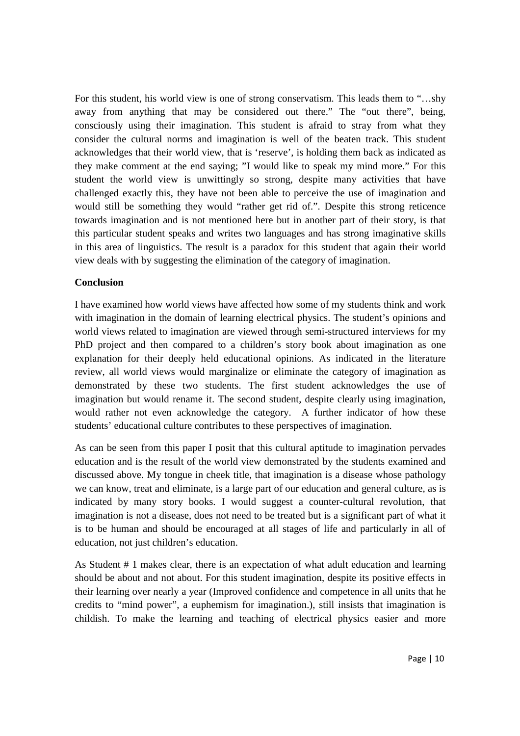For this student, his world view is one of strong conservatism. This leads them to "…shy away from anything that may be considered out there." The "out there", being, consciously using their imagination. This student is afraid to stray from what they consider the cultural norms and imagination is well of the beaten track. This student acknowledges that their world view, that is 'reserve', is holding them back as indicated as they make comment at the end saying; "I would like to speak my mind more." For this student the world view is unwittingly so strong, despite many activities that have challenged exactly this, they have not been able to perceive the use of imagination and would still be something they would "rather get rid of.". Despite this strong reticence towards imagination and is not mentioned here but in another part of their story, is that this particular student speaks and writes two languages and has strong imaginative skills in this area of linguistics. The result is a paradox for this student that again their world view deals with by suggesting the elimination of the category of imagination.

## **Conclusion**

I have examined how world views have affected how some of my students think and work with imagination in the domain of learning electrical physics. The student's opinions and world views related to imagination are viewed through semi-structured interviews for my PhD project and then compared to a children's story book about imagination as one explanation for their deeply held educational opinions. As indicated in the literature review, all world views would marginalize or eliminate the category of imagination as demonstrated by these two students. The first student acknowledges the use of imagination but would rename it. The second student, despite clearly using imagination, would rather not even acknowledge the category. A further indicator of how these students' educational culture contributes to these perspectives of imagination.

As can be seen from this paper I posit that this cultural aptitude to imagination pervades education and is the result of the world view demonstrated by the students examined and discussed above. My tongue in cheek title, that imagination is a disease whose pathology we can know, treat and eliminate, is a large part of our education and general culture, as is indicated by many story books. I would suggest a counter-cultural revolution, that imagination is not a disease, does not need to be treated but is a significant part of what it is to be human and should be encouraged at all stages of life and particularly in all of education, not just children's education.

As Student # 1 makes clear, there is an expectation of what adult education and learning should be about and not about. For this student imagination, despite its positive effects in their learning over nearly a year (Improved confidence and competence in all units that he credits to "mind power", a euphemism for imagination.), still insists that imagination is childish. To make the learning and teaching of electrical physics easier and more